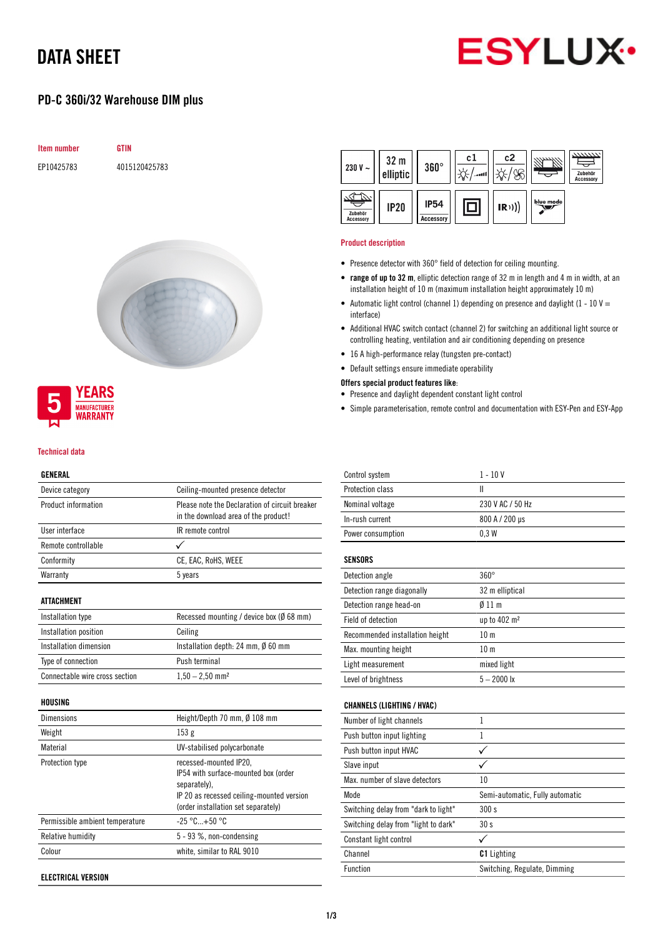# DATA SHEET



# PD-C 360i/32 Warehouse DIM plus







### Technical data

#### GENERAL

| Device category                | Ceiling-mounted presence detector                                                      |
|--------------------------------|----------------------------------------------------------------------------------------|
| Product information            | Please note the Declaration of circuit breaker<br>in the download area of the product! |
| User interface                 | IR remote control                                                                      |
| Remote controllable            |                                                                                        |
| Conformity                     | CE, EAC, RoHS, WEEE                                                                    |
| Warranty                       | 5 years                                                                                |
| ATTACHMENT                     |                                                                                        |
| Installation type              | Recessed mounting / device box (Ø 68 mm)                                               |
| Installation position          | Ceiling                                                                                |
| Installation dimension         | Installation depth: 24 mm, $\emptyset$ 60 mm                                           |
| Type of connection             | Push terminal                                                                          |
| Connectable wire cross section | $1,50 - 2,50$ mm <sup>2</sup>                                                          |
|                                |                                                                                        |

## HOUSING

| Dimensions                      | Height/Depth 70 mm, $\emptyset$ 108 mm                                                                                                                             |
|---------------------------------|--------------------------------------------------------------------------------------------------------------------------------------------------------------------|
| Weight                          | 153 <sub>g</sub>                                                                                                                                                   |
| Material                        | UV-stabilised polycarbonate                                                                                                                                        |
| Protection type                 | recessed-mounted IP20,<br>IP54 with surface-mounted box (order<br>separately).<br>IP 20 as recessed ceiling-mounted version<br>(order installation set separately) |
| Permissible ambient temperature | $-25 °C+50 °C$                                                                                                                                                     |
| Relative humidity               | 5 - 93 %, non-condensing                                                                                                                                           |
| Colour                          | white, similar to RAL 9010                                                                                                                                         |
|                                 |                                                                                                                                                                    |

ELECTRICAL VERSION



### Product description

- Presence detector with 360° field of detection for ceiling mounting.
- range of up to 32 m, elliptic detection range of 32 m in length and 4 m in width, at an installation height of 10 m (maximum installation height approximately 10 m)
- Automatic light control (channel 1) depending on presence and daylight (1 10 V = interface)
- Additional HVAC switch contact (channel 2) for switching an additional light source or controlling heating, ventilation and air conditioning depending on presence
- 16 A high-performance relay (tungsten pre-contact)
- Default settings ensure immediate operability

## Offers special product features like:

- Presence and daylight dependent constant light control
- Simple parameterisation, remote control and documentation with ESY-Pen and ESY-App

| Control system                       | $1 - 10V$                       |
|--------------------------------------|---------------------------------|
| Protection class                     | Ш                               |
| Nominal voltage                      | 230 V AC / 50 Hz                |
| In-rush current                      | 800 A / 200 µs                  |
| Power consumption                    | 0.3W                            |
|                                      |                                 |
| <b>SENSORS</b>                       |                                 |
| Detection angle                      | $360^\circ$                     |
| Detection range diagonally           | 32 m elliptical                 |
| Detection range head-on              | $\emptyset$ 11 m                |
| Field of detection                   | up to 402 m <sup>2</sup>        |
| Recommended installation height      | 10 <sub>m</sub>                 |
| Max. mounting height                 | 10 <sub>m</sub>                 |
| Light measurement                    | mixed light                     |
| Level of brightness                  | $5 - 2000$ lx                   |
|                                      |                                 |
| <b>CHANNELS (LIGHTING / HVAC)</b>    |                                 |
| Number of light channels             | 1                               |
| Push button input lighting           | 1                               |
| Push button input HVAC               | $\checkmark$                    |
| Slave input                          |                                 |
| Max, number of slave detectors       | 10                              |
| Mode                                 | Semi-automatic, Fully automatic |
| Switching delay from "dark to light" | 300s                            |
| Switching delay from "light to dark" | 30 <sub>s</sub>                 |

| Constant light control |                              |
|------------------------|------------------------------|
| Channel                | <b>C1</b> Lighting           |
| Function               | Switching, Regulate, Dimming |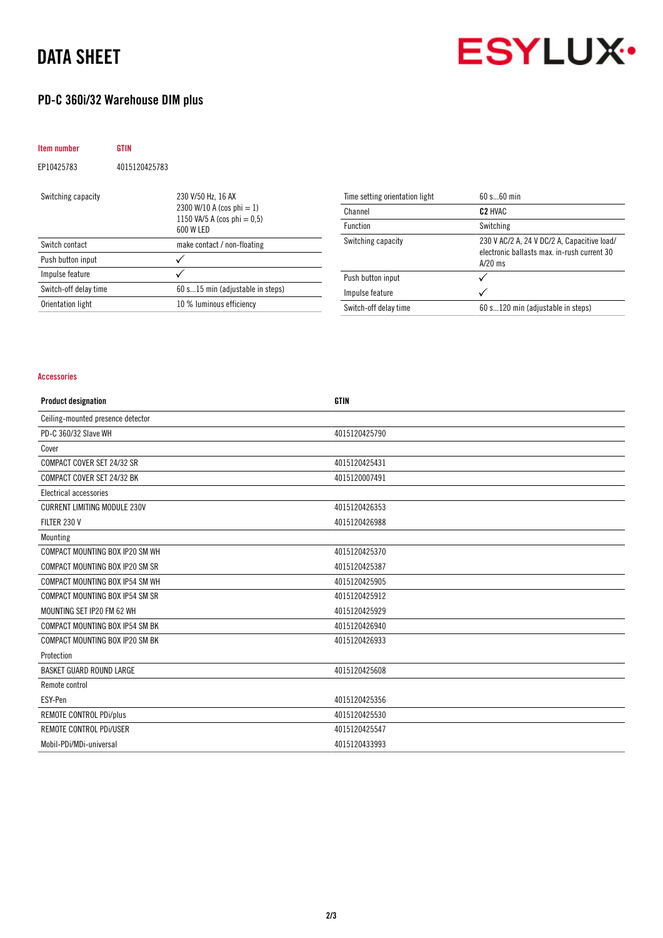# DATA SHEET



# PD-C 360i/32 Warehouse DIM plus

| <b>GTIN</b>   |                                                                                                |
|---------------|------------------------------------------------------------------------------------------------|
| 4015120425783 |                                                                                                |
|               | 230 V/50 Hz, 16 AX<br>2300 W/10 A (cos phi = 1)<br>1150 VA/5 A (cos phi = $0.5$ )<br>600 W LED |
|               | make contact / non-floating                                                                    |
|               |                                                                                                |
|               |                                                                                                |
|               | 60 s15 min (adjustable in steps)                                                               |
|               | 10 % luminous efficiency                                                                       |
|               |                                                                                                |

| Time setting orientation light | 60 s 60 min                                                                                             |
|--------------------------------|---------------------------------------------------------------------------------------------------------|
| Channel                        | C <sub>2</sub> HVAC                                                                                     |
| <b>Function</b>                | Switching                                                                                               |
| Switching capacity             | 230 V AC/2 A, 24 V DC/2 A, Capacitive load/<br>electronic ballasts max. in-rush current 30<br>$A/20$ ms |
| Push button input              |                                                                                                         |
| Impulse feature                |                                                                                                         |
| Switch-off delay time          | 60 s120 min (adjustable in steps)                                                                       |

## Accessories

| <b>Product designation</b>          | <b>GTIN</b>   |
|-------------------------------------|---------------|
| Ceiling-mounted presence detector   |               |
| PD-C 360/32 Slave WH                | 4015120425790 |
| Cover                               |               |
| COMPACT COVER SET 24/32 SR          | 4015120425431 |
| COMPACT COVER SET 24/32 BK          | 4015120007491 |
| Electrical accessories              |               |
| <b>CURRENT LIMITING MODULE 230V</b> | 4015120426353 |
| FILTER 230 V                        | 4015120426988 |
| Mounting                            |               |
| COMPACT MOUNTING BOX IP20 SM WH     | 4015120425370 |
| COMPACT MOUNTING BOX IP20 SM SR     | 4015120425387 |
| COMPACT MOUNTING BOX IP54 SM WH     | 4015120425905 |
| COMPACT MOUNTING BOX IP54 SM SR     | 4015120425912 |
| MOUNTING SET IP20 FM 62 WH          | 4015120425929 |
| COMPACT MOUNTING BOX IP54 SM BK     | 4015120426940 |
| COMPACT MOUNTING BOX IP20 SM BK     | 4015120426933 |
| Protection                          |               |
| <b>BASKET GUARD ROUND LARGE</b>     | 4015120425608 |
| Remote control                      |               |
| ESY-Pen                             | 4015120425356 |
| REMOTE CONTROL PDi/plus             | 4015120425530 |
| REMOTE CONTROL PDi/USER             | 4015120425547 |
| Mobil-PDi/MDi-universal             | 4015120433993 |